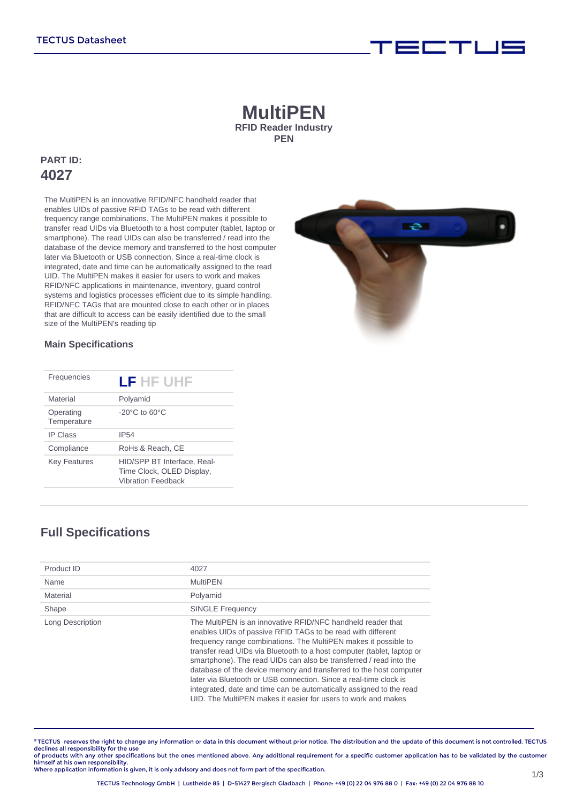# **MultiPEN RFID Reader Industry PEN**

# **PART ID: 4027**

The MultiPEN is an innovative RFID/NFC handheld reader that enables UIDs of passive RFID TAGs to be read with different frequency range combinations. The MultiPEN makes it possible to transfer read UIDs via Bluetooth to a host computer (tablet, laptop or smartphone). The read UIDs can also be transferred / read into the database of the device memory and transferred to the host computer later via Bluetooth or USB connection. Since a real-time clock is integrated, date and time can be automatically assigned to the read UID. The MultiPEN makes it easier for users to work and makes RFID/NFC applications in maintenance, inventory, guard control systems and logistics processes efficient due to its simple handling. RFID/NFC TAGs that are mounted close to each other or in places that are difficult to access can be easily identified due to the small size of the MultiPEN's reading tip



i wa mji na kutoka 1

#### **Main Specifications**

| Frequencies              | LF HF UHF                                                                             |
|--------------------------|---------------------------------------------------------------------------------------|
| Material                 | Polyamid                                                                              |
| Operating<br>Temperature | $-20^{\circ}$ C to 60 $^{\circ}$ C                                                    |
| <b>IP Class</b>          | <b>IP54</b>                                                                           |
| Compliance               | RoHs & Reach, CE                                                                      |
| <b>Key Features</b>      | HID/SPP BT Interface, Real-<br>Time Clock, OLED Display,<br><b>Vibration Feedback</b> |

# **Full Specifications**

| Product ID       | 4027                                                                                                                                                                                                                                                                                                                                                                                                                                                                                                                                                                                                                             |
|------------------|----------------------------------------------------------------------------------------------------------------------------------------------------------------------------------------------------------------------------------------------------------------------------------------------------------------------------------------------------------------------------------------------------------------------------------------------------------------------------------------------------------------------------------------------------------------------------------------------------------------------------------|
| Name             | <b>MultiPFN</b>                                                                                                                                                                                                                                                                                                                                                                                                                                                                                                                                                                                                                  |
| Material         | Polyamid                                                                                                                                                                                                                                                                                                                                                                                                                                                                                                                                                                                                                         |
| Shape            | <b>SINGLE Frequency</b>                                                                                                                                                                                                                                                                                                                                                                                                                                                                                                                                                                                                          |
| Long Description | The MultiPEN is an innovative RFID/NFC handheld reader that<br>enables UIDs of passive RFID TAGs to be read with different<br>frequency range combinations. The MultiPEN makes it possible to<br>transfer read UIDs via Bluetooth to a host computer (tablet, laptop or<br>smartphone). The read UIDs can also be transferred / read into the<br>database of the device memory and transferred to the host computer<br>later via Bluetooth or USB connection. Since a real-time clock is<br>integrated, date and time can be automatically assigned to the read<br>UID. The MultiPEN makes it easier for users to work and makes |

**©** TECTUS reserves the right to change any information or data in this document without prior notice. The distribution and the update of this document is not controlled. TECTUS declines all responsibility for the use<br>of products with any other specifications but the ones mentioned above. Any additional requirement for a specific customer application has to be validated by the customer

himself at his own responsibility. Where application information is given, it is only advisory and does not form part of the specification.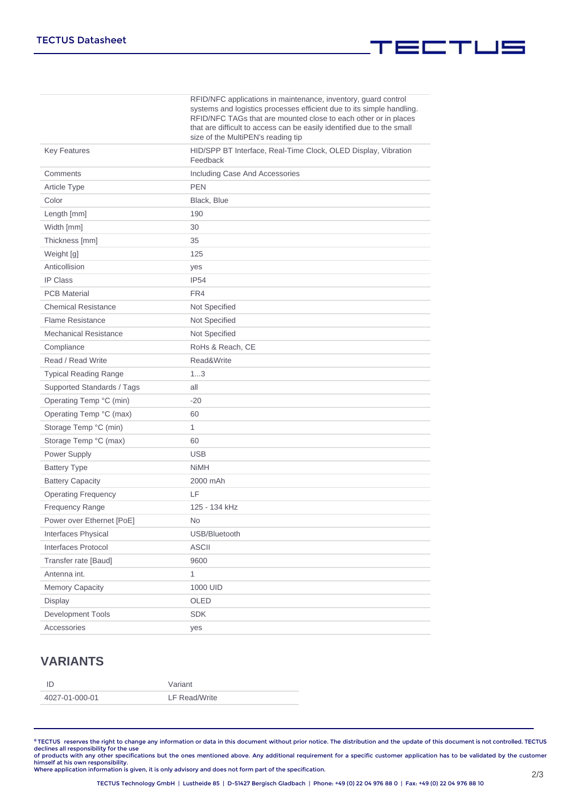|                              | RFID/NFC applications in maintenance, inventory, guard control<br>systems and logistics processes efficient due to its simple handling.<br>RFID/NFC TAGs that are mounted close to each other or in places<br>that are difficult to access can be easily identified due to the small<br>size of the MultiPEN's reading tip |
|------------------------------|----------------------------------------------------------------------------------------------------------------------------------------------------------------------------------------------------------------------------------------------------------------------------------------------------------------------------|
| <b>Key Features</b>          | HID/SPP BT Interface, Real-Time Clock, OLED Display, Vibration<br>Feedback                                                                                                                                                                                                                                                 |
| Comments                     | Including Case And Accessories                                                                                                                                                                                                                                                                                             |
| <b>Article Type</b>          | <b>PEN</b>                                                                                                                                                                                                                                                                                                                 |
| Color                        | Black, Blue                                                                                                                                                                                                                                                                                                                |
| Length [mm]                  | 190                                                                                                                                                                                                                                                                                                                        |
| Width [mm]                   | 30                                                                                                                                                                                                                                                                                                                         |
| Thickness [mm]               | 35                                                                                                                                                                                                                                                                                                                         |
| Weight [g]                   | 125                                                                                                                                                                                                                                                                                                                        |
| Anticollision                | yes                                                                                                                                                                                                                                                                                                                        |
| <b>IP Class</b>              | <b>IP54</b>                                                                                                                                                                                                                                                                                                                |
| <b>PCB Material</b>          | FR4                                                                                                                                                                                                                                                                                                                        |
| <b>Chemical Resistance</b>   | Not Specified                                                                                                                                                                                                                                                                                                              |
| <b>Flame Resistance</b>      | Not Specified                                                                                                                                                                                                                                                                                                              |
| <b>Mechanical Resistance</b> | Not Specified                                                                                                                                                                                                                                                                                                              |
| Compliance                   | RoHs & Reach, CE                                                                                                                                                                                                                                                                                                           |
| Read / Read Write            | Read&Write                                                                                                                                                                                                                                                                                                                 |
| <b>Typical Reading Range</b> | 13                                                                                                                                                                                                                                                                                                                         |
| Supported Standards / Tags   | all                                                                                                                                                                                                                                                                                                                        |
| Operating Temp °C (min)      | $-20$                                                                                                                                                                                                                                                                                                                      |
| Operating Temp °C (max)      | 60                                                                                                                                                                                                                                                                                                                         |
| Storage Temp °C (min)        | 1                                                                                                                                                                                                                                                                                                                          |
| Storage Temp °C (max)        | 60                                                                                                                                                                                                                                                                                                                         |
| Power Supply                 | <b>USB</b>                                                                                                                                                                                                                                                                                                                 |
| <b>Battery Type</b>          | <b>NiMH</b>                                                                                                                                                                                                                                                                                                                |
| <b>Battery Capacity</b>      | 2000 mAh                                                                                                                                                                                                                                                                                                                   |
| <b>Operating Frequency</b>   | LF                                                                                                                                                                                                                                                                                                                         |
| Frequency Range              | 125 - 134 kHz                                                                                                                                                                                                                                                                                                              |
| Power over Ethernet [PoE]    | <b>No</b>                                                                                                                                                                                                                                                                                                                  |
| <b>Interfaces Physical</b>   | USB/Bluetooth                                                                                                                                                                                                                                                                                                              |
| Interfaces Protocol          | <b>ASCII</b>                                                                                                                                                                                                                                                                                                               |
| Transfer rate [Baud]         | 9600                                                                                                                                                                                                                                                                                                                       |
| Antenna int.                 | 1                                                                                                                                                                                                                                                                                                                          |
| <b>Memory Capacity</b>       | 1000 UID                                                                                                                                                                                                                                                                                                                   |
| Display                      | OLED                                                                                                                                                                                                                                                                                                                       |
| Development Tools            | <b>SDK</b>                                                                                                                                                                                                                                                                                                                 |
| Accessories                  | yes                                                                                                                                                                                                                                                                                                                        |

# **VARIANTS**

| חו             | Variant       |
|----------------|---------------|
| 4027-01-000-01 | LF Read/Write |

®TECTUS reserves the right to change any information or data in this document without prior notice. The distribution and the update of this document is not controlled. TECTUS<br>declines all responsibility for the use<br>of prod

▍▆▆▜▊▁▎▆▆